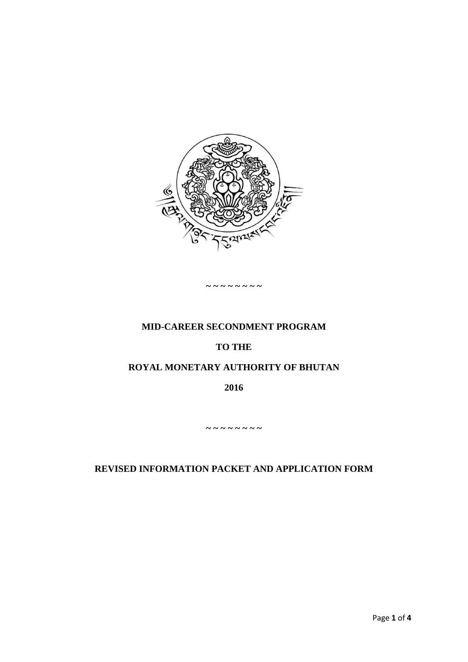

#### **~ ~ ~ ~ ~ ~ ~ ~**

### **MID-CAREER SECONDMENT PROGRAM**

#### **TO THE**

### **ROYAL MONETARY AUTHORITY OF BHUTAN**

**2016**

**~ ~ ~ ~ ~ ~ ~ ~**

### **REVISED INFORMATION PACKET AND APPLICATION FORM**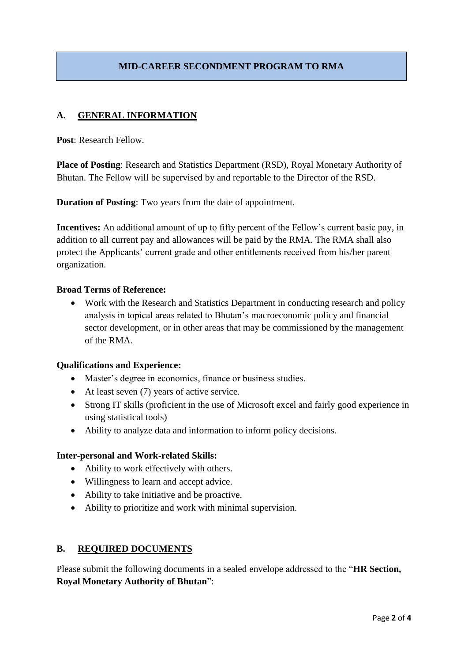# **MID-CAREER SECONDMENT PROGRAM TO RMA**

### **A. GENERAL INFORMATION**

**Post**: Research Fellow.

**Place of Posting**: Research and Statistics Department (RSD), Royal Monetary Authority of Bhutan. The Fellow will be supervised by and reportable to the Director of the RSD.

**Duration of Posting**: Two years from the date of appointment.

**Incentives:** An additional amount of up to fifty percent of the Fellow's current basic pay, in addition to all current pay and allowances will be paid by the RMA. The RMA shall also protect the Applicants' current grade and other entitlements received from his/her parent organization.

#### **Broad Terms of Reference:**

• Work with the Research and Statistics Department in conducting research and policy analysis in topical areas related to Bhutan's macroeconomic policy and financial sector development, or in other areas that may be commissioned by the management of the RMA.

#### **Qualifications and Experience:**

- Master's degree in economics, finance or business studies.
- At least seven (7) years of active service.
- Strong IT skills (proficient in the use of Microsoft excel and fairly good experience in using statistical tools)
- Ability to analyze data and information to inform policy decisions.

#### **Inter-personal and Work-related Skills:**

- Ability to work effectively with others.
- Willingness to learn and accept advice.
- Ability to take initiative and be proactive.
- Ability to prioritize and work with minimal supervision.

### **B. REQUIRED DOCUMENTS**

Please submit the following documents in a sealed envelope addressed to the "**HR Section, Royal Monetary Authority of Bhutan**":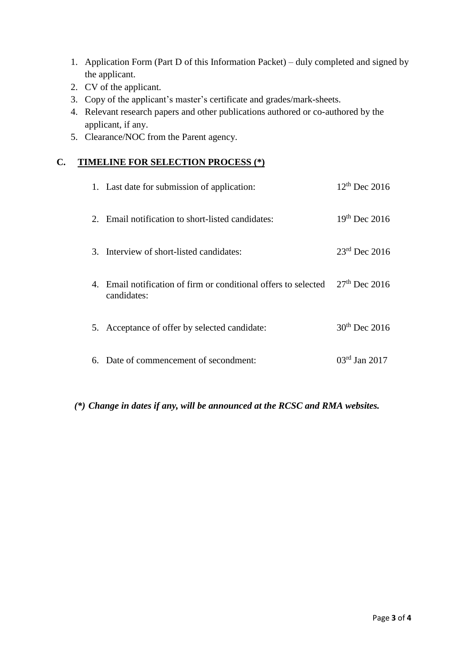- 1. Application Form (Part D of this Information Packet) duly completed and signed by the applicant.
- 2. CV of the applicant.
- 3. Copy of the applicant's master's certificate and grades/mark-sheets.
- 4. Relevant research papers and other publications authored or co-authored by the applicant, if any.
- 5. Clearance/NOC from the Parent agency.

## **C. TIMELINE FOR SELECTION PROCESS (\*)**

| 1. Last date for submission of application:                                    | $12^{th}$ Dec 2016        |
|--------------------------------------------------------------------------------|---------------------------|
| 2. Email notification to short-listed candidates:                              | $19^{th}$ Dec 2016        |
| 3. Interview of short-listed candidates:                                       | $23rd$ Dec 2016           |
| 4. Email notification of firm or conditional offers to selected<br>candidates: | $27th$ Dec 2016           |
| 5. Acceptance of offer by selected candidate:                                  | $30^{th}$ Dec 2016        |
| 6. Date of commencement of secondment:                                         | $03^{\text{rd}}$ Jan 2017 |

*(\*) Change in dates if any, will be announced at the RCSC and RMA websites.*